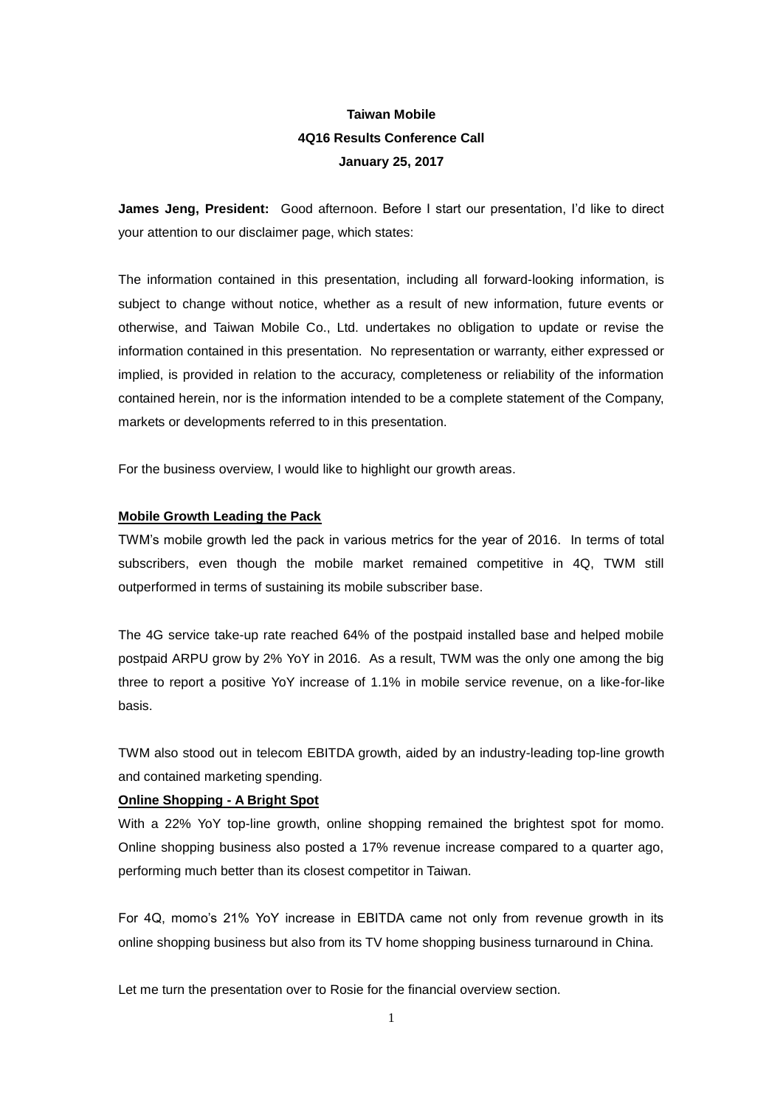# **Taiwan Mobile 4Q16 Results Conference Call January 25, 2017**

**James Jeng, President:** Good afternoon. Before I start our presentation, I'd like to direct your attention to our disclaimer page, which states:

The information contained in this presentation, including all forward-looking information, is subject to change without notice, whether as a result of new information, future events or otherwise, and Taiwan Mobile Co., Ltd. undertakes no obligation to update or revise the information contained in this presentation. No representation or warranty, either expressed or implied, is provided in relation to the accuracy, completeness or reliability of the information contained herein, nor is the information intended to be a complete statement of the Company, markets or developments referred to in this presentation.

For the business overview, I would like to highlight our growth areas.

### **Mobile Growth Leading the Pack**

TWM's mobile growth led the pack in various metrics for the year of 2016. In terms of total subscribers, even though the mobile market remained competitive in 4Q, TWM still outperformed in terms of sustaining its mobile subscriber base.

The 4G service take-up rate reached 64% of the postpaid installed base and helped mobile postpaid ARPU grow by 2% YoY in 2016. As a result, TWM was the only one among the big three to report a positive YoY increase of 1.1% in mobile service revenue, on a like-for-like basis.

TWM also stood out in telecom EBITDA growth, aided by an industry-leading top-line growth and contained marketing spending.

### **Online Shopping - A Bright Spot**

With a 22% YoY top-line growth, online shopping remained the brightest spot for momo. Online shopping business also posted a 17% revenue increase compared to a quarter ago, performing much better than its closest competitor in Taiwan.

For 4Q, momo's 21% YoY increase in EBITDA came not only from revenue growth in its online shopping business but also from its TV home shopping business turnaround in China.

Let me turn the presentation over to Rosie for the financial overview section.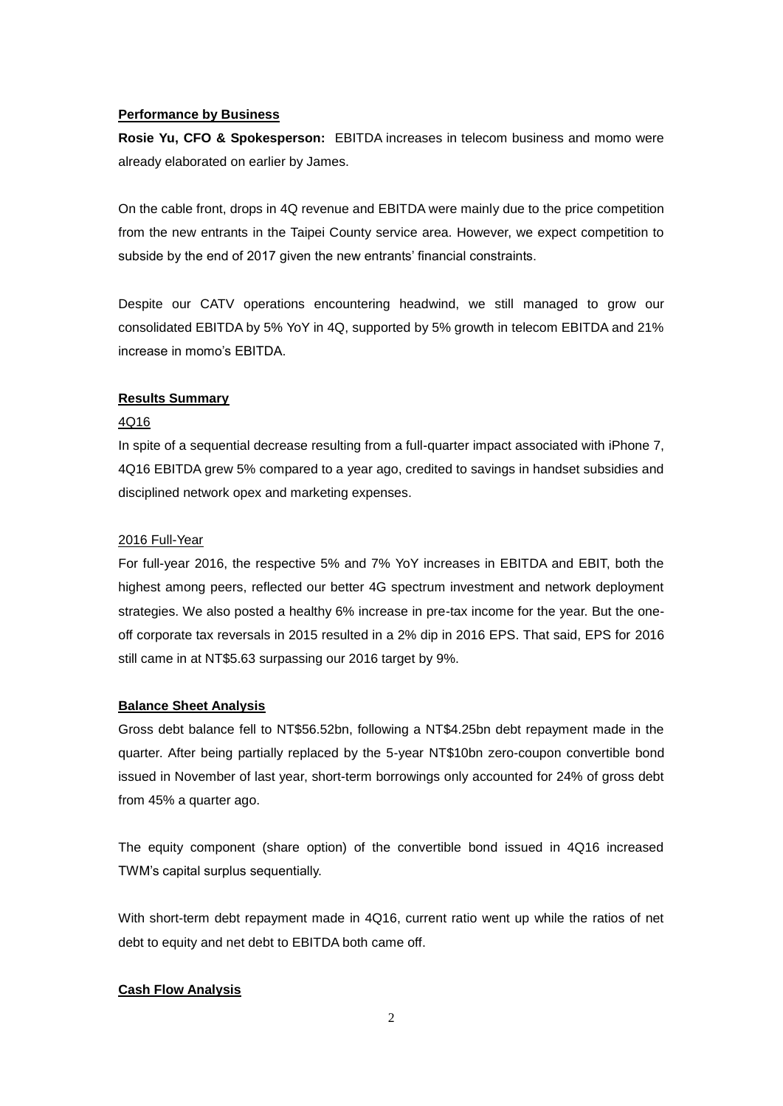### **Performance by Business**

**Rosie Yu, CFO & Spokesperson:** EBITDA increases in telecom business and momo were already elaborated on earlier by James.

On the cable front, drops in 4Q revenue and EBITDA were mainly due to the price competition from the new entrants in the Taipei County service area. However, we expect competition to subside by the end of 2017 given the new entrants' financial constraints.

Despite our CATV operations encountering headwind, we still managed to grow our consolidated EBITDA by 5% YoY in 4Q, supported by 5% growth in telecom EBITDA and 21% increase in momo's EBITDA.

### **Results Summary**

### 4Q16

In spite of a sequential decrease resulting from a full-quarter impact associated with iPhone 7, 4Q16 EBITDA grew 5% compared to a year ago, credited to savings in handset subsidies and disciplined network opex and marketing expenses.

### 2016 Full-Year

For full-year 2016, the respective 5% and 7% YoY increases in EBITDA and EBIT, both the highest among peers, reflected our better 4G spectrum investment and network deployment strategies. We also posted a healthy 6% increase in pre-tax income for the year. But the oneoff corporate tax reversals in 2015 resulted in a 2% dip in 2016 EPS. That said, EPS for 2016 still came in at NT\$5.63 surpassing our 2016 target by 9%.

### **Balance Sheet Analysis**

Gross debt balance fell to NT\$56.52bn, following a NT\$4.25bn debt repayment made in the quarter. After being partially replaced by the 5-year NT\$10bn zero-coupon convertible bond issued in November of last year, short-term borrowings only accounted for 24% of gross debt from 45% a quarter ago.

The equity component (share option) of the convertible bond issued in 4Q16 increased TWM's capital surplus sequentially.

With short-term debt repayment made in 4Q16, current ratio went up while the ratios of net debt to equity and net debt to EBITDA both came off.

### **Cash Flow Analysis**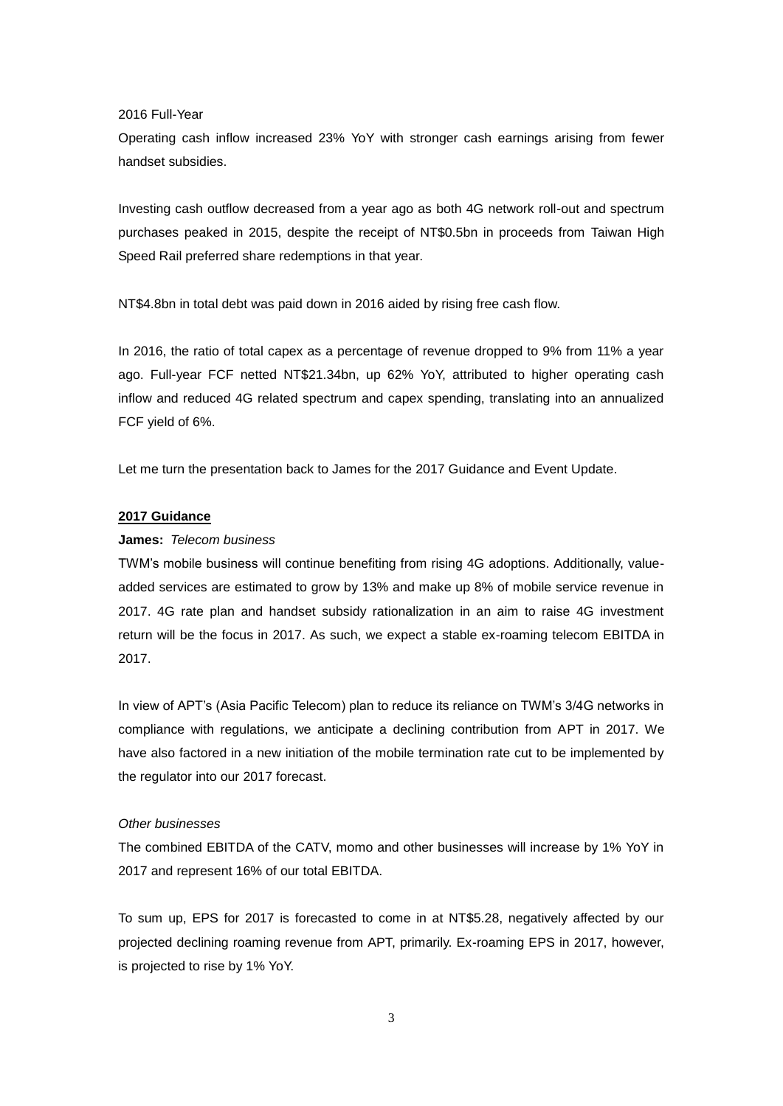2016 Full-Year

Operating cash inflow increased 23% YoY with stronger cash earnings arising from fewer handset subsidies.

Investing cash outflow decreased from a year ago as both 4G network roll-out and spectrum purchases peaked in 2015, despite the receipt of NT\$0.5bn in proceeds from Taiwan High Speed Rail preferred share redemptions in that year.

NT\$4.8bn in total debt was paid down in 2016 aided by rising free cash flow.

In 2016, the ratio of total capex as a percentage of revenue dropped to 9% from 11% a year ago. Full-year FCF netted NT\$21.34bn, up 62% YoY, attributed to higher operating cash inflow and reduced 4G related spectrum and capex spending, translating into an annualized FCF yield of 6%.

Let me turn the presentation back to James for the 2017 Guidance and Event Update.

### **2017 Guidance**

### **James:** *Telecom business*

TWM's mobile business will continue benefiting from rising 4G adoptions. Additionally, valueadded services are estimated to grow by 13% and make up 8% of mobile service revenue in 2017. 4G rate plan and handset subsidy rationalization in an aim to raise 4G investment return will be the focus in 2017. As such, we expect a stable ex-roaming telecom EBITDA in 2017.

In view of APT's (Asia Pacific Telecom) plan to reduce its reliance on TWM's 3/4G networks in compliance with regulations, we anticipate a declining contribution from APT in 2017. We have also factored in a new initiation of the mobile termination rate cut to be implemented by the regulator into our 2017 forecast.

### *Other businesses*

The combined EBITDA of the CATV, momo and other businesses will increase by 1% YoY in 2017 and represent 16% of our total EBITDA.

To sum up, EPS for 2017 is forecasted to come in at NT\$5.28, negatively affected by our projected declining roaming revenue from APT, primarily. Ex-roaming EPS in 2017, however, is projected to rise by 1% YoY.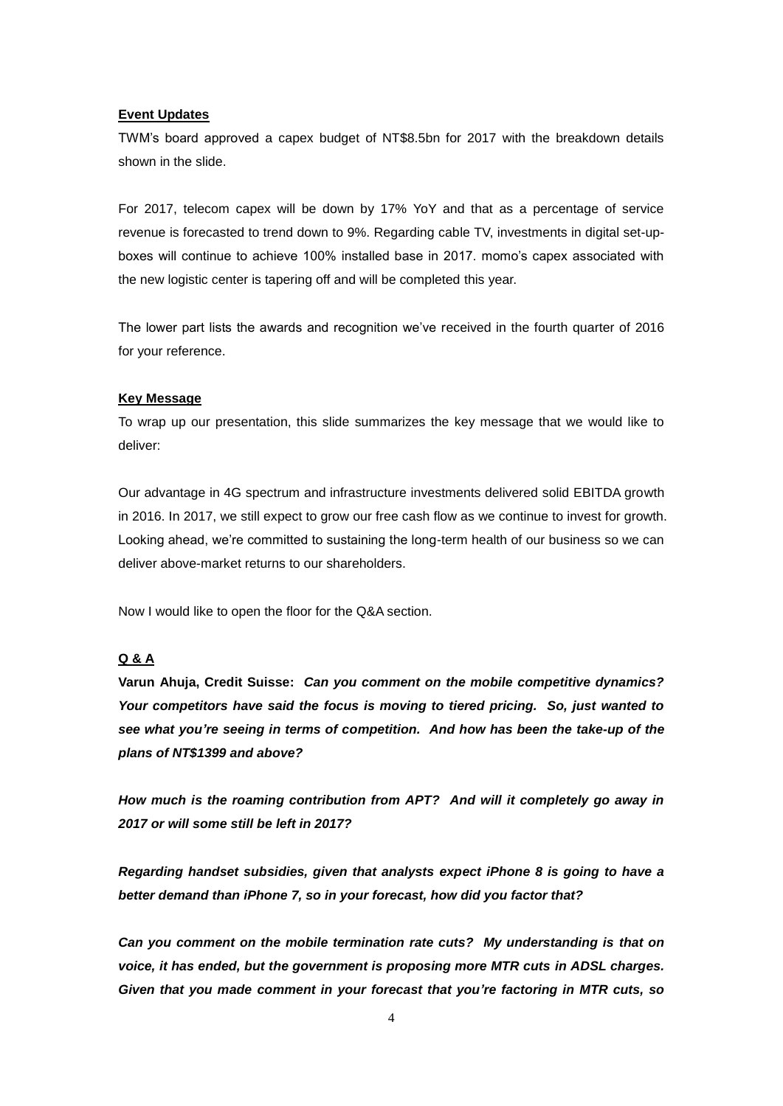### **Event Updates**

TWM's board approved a capex budget of NT\$8.5bn for 2017 with the breakdown details shown in the slide.

For 2017, telecom capex will be down by 17% YoY and that as a percentage of service revenue is forecasted to trend down to 9%. Regarding cable TV, investments in digital set-upboxes will continue to achieve 100% installed base in 2017. momo's capex associated with the new logistic center is tapering off and will be completed this year.

The lower part lists the awards and recognition we've received in the fourth quarter of 2016 for your reference.

### **Key Message**

To wrap up our presentation, this slide summarizes the key message that we would like to deliver:

Our advantage in 4G spectrum and infrastructure investments delivered solid EBITDA growth in 2016. In 2017, we still expect to grow our free cash flow as we continue to invest for growth. Looking ahead, we're committed to sustaining the long-term health of our business so we can deliver above-market returns to our shareholders.

Now I would like to open the floor for the Q&A section.

## **Q & A**

**Varun Ahuja, Credit Suisse:** *Can you comment on the mobile competitive dynamics? Your competitors have said the focus is moving to tiered pricing. So, just wanted to see what you're seeing in terms of competition. And how has been the take-up of the plans of NT\$1399 and above?* 

*How much is the roaming contribution from APT? And will it completely go away in 2017 or will some still be left in 2017?*

*Regarding handset subsidies, given that analysts expect iPhone 8 is going to have a better demand than iPhone 7, so in your forecast, how did you factor that?*

*Can you comment on the mobile termination rate cuts? My understanding is that on voice, it has ended, but the government is proposing more MTR cuts in ADSL charges. Given that you made comment in your forecast that you're factoring in MTR cuts, so*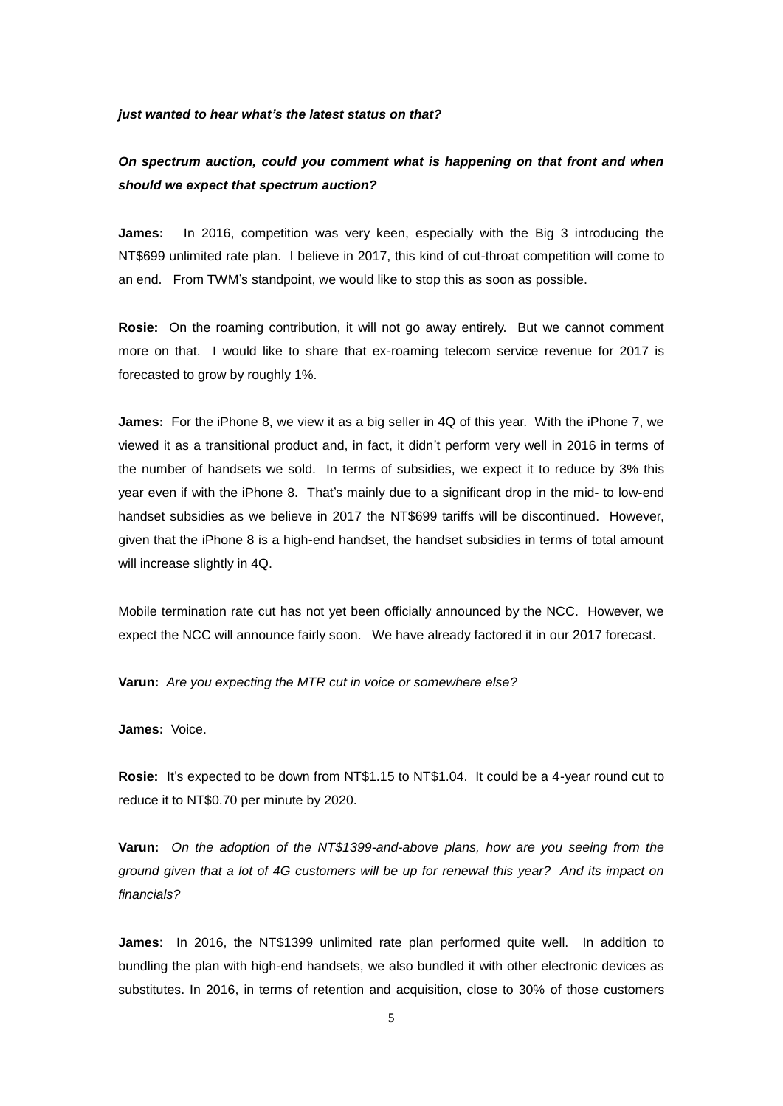#### *just wanted to hear what's the latest status on that?*

## *On spectrum auction, could you comment what is happening on that front and when should we expect that spectrum auction?*

**James:** In 2016, competition was very keen, especially with the Big 3 introducing the NT\$699 unlimited rate plan. I believe in 2017, this kind of cut-throat competition will come to an end. From TWM's standpoint, we would like to stop this as soon as possible.

**Rosie:** On the roaming contribution, it will not go away entirely. But we cannot comment more on that. I would like to share that ex-roaming telecom service revenue for 2017 is forecasted to grow by roughly 1%.

**James:** For the iPhone 8, we view it as a big seller in 4Q of this year. With the iPhone 7, we viewed it as a transitional product and, in fact, it didn't perform very well in 2016 in terms of the number of handsets we sold. In terms of subsidies, we expect it to reduce by 3% this year even if with the iPhone 8. That's mainly due to a significant drop in the mid- to low-end handset subsidies as we believe in 2017 the NT\$699 tariffs will be discontinued. However, given that the iPhone 8 is a high-end handset, the handset subsidies in terms of total amount will increase slightly in 4Q.

Mobile termination rate cut has not yet been officially announced by the NCC. However, we expect the NCC will announce fairly soon. We have already factored it in our 2017 forecast.

**Varun:** *Are you expecting the MTR cut in voice or somewhere else?*

**James:** Voice.

**Rosie:** It's expected to be down from NT\$1.15 to NT\$1.04. It could be a 4-year round cut to reduce it to NT\$0.70 per minute by 2020.

**Varun:** *On the adoption of the NT\$1399-and-above plans, how are you seeing from the ground given that a lot of 4G customers will be up for renewal this year? And its impact on financials?*

**James**: In 2016, the NT\$1399 unlimited rate plan performed quite well. In addition to bundling the plan with high-end handsets, we also bundled it with other electronic devices as substitutes. In 2016, in terms of retention and acquisition, close to 30% of those customers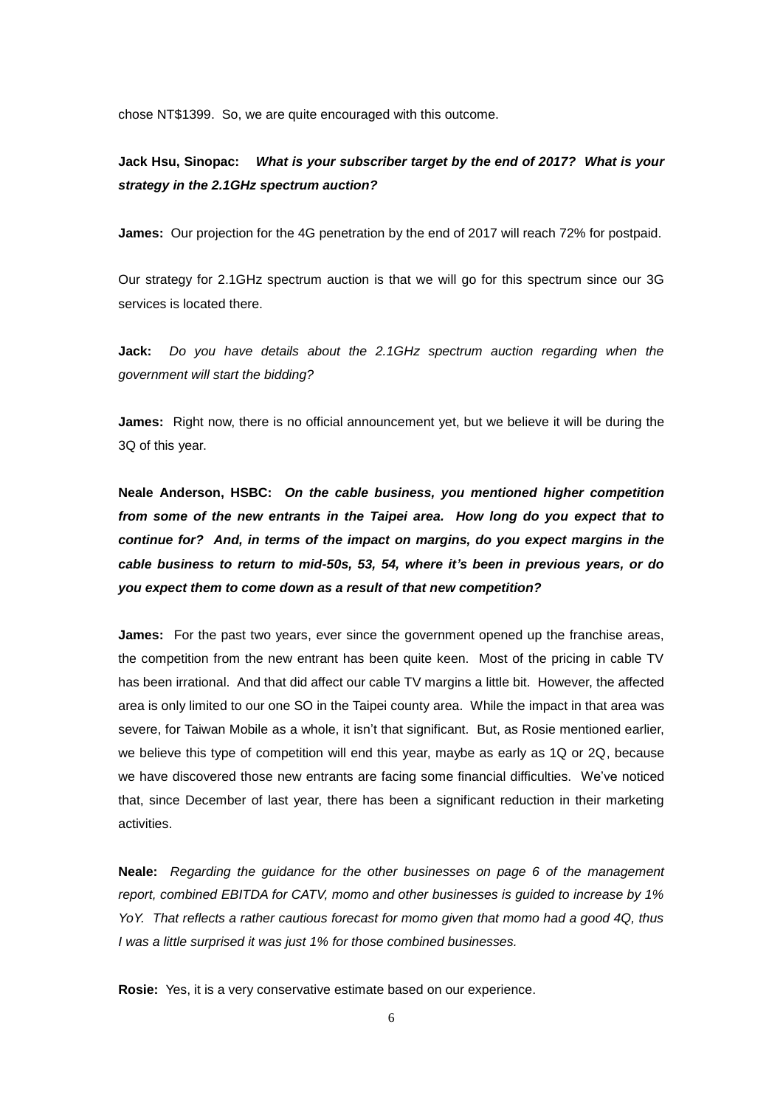chose NT\$1399. So, we are quite encouraged with this outcome.

## **Jack Hsu, Sinopac:** *What is your subscriber target by the end of 2017? What is your strategy in the 2.1GHz spectrum auction?*

**James:** Our projection for the 4G penetration by the end of 2017 will reach 72% for postpaid.

Our strategy for 2.1GHz spectrum auction is that we will go for this spectrum since our 3G services is located there.

**Jack:** *Do you have details about the 2.1GHz spectrum auction regarding when the government will start the bidding?*

**James:** Right now, there is no official announcement yet, but we believe it will be during the 3Q of this year.

**Neale Anderson, HSBC:** *On the cable business, you mentioned higher competition from some of the new entrants in the Taipei area. How long do you expect that to continue for? And, in terms of the impact on margins, do you expect margins in the cable business to return to mid-50s, 53, 54, where it's been in previous years, or do you expect them to come down as a result of that new competition?*

**James:** For the past two years, ever since the government opened up the franchise areas, the competition from the new entrant has been quite keen. Most of the pricing in cable TV has been irrational. And that did affect our cable TV margins a little bit. However, the affected area is only limited to our one SO in the Taipei county area. While the impact in that area was severe, for Taiwan Mobile as a whole, it isn't that significant. But, as Rosie mentioned earlier, we believe this type of competition will end this year, maybe as early as 1Q or 2Q, because we have discovered those new entrants are facing some financial difficulties. We've noticed that, since December of last year, there has been a significant reduction in their marketing activities.

**Neale:** *Regarding the guidance for the other businesses on page 6 of the management report, combined EBITDA for CATV, momo and other businesses is guided to increase by 1% YoY. That reflects a rather cautious forecast for momo given that momo had a good 4Q, thus I was a little surprised it was just 1% for those combined businesses.* 

**Rosie:** Yes, it is a very conservative estimate based on our experience.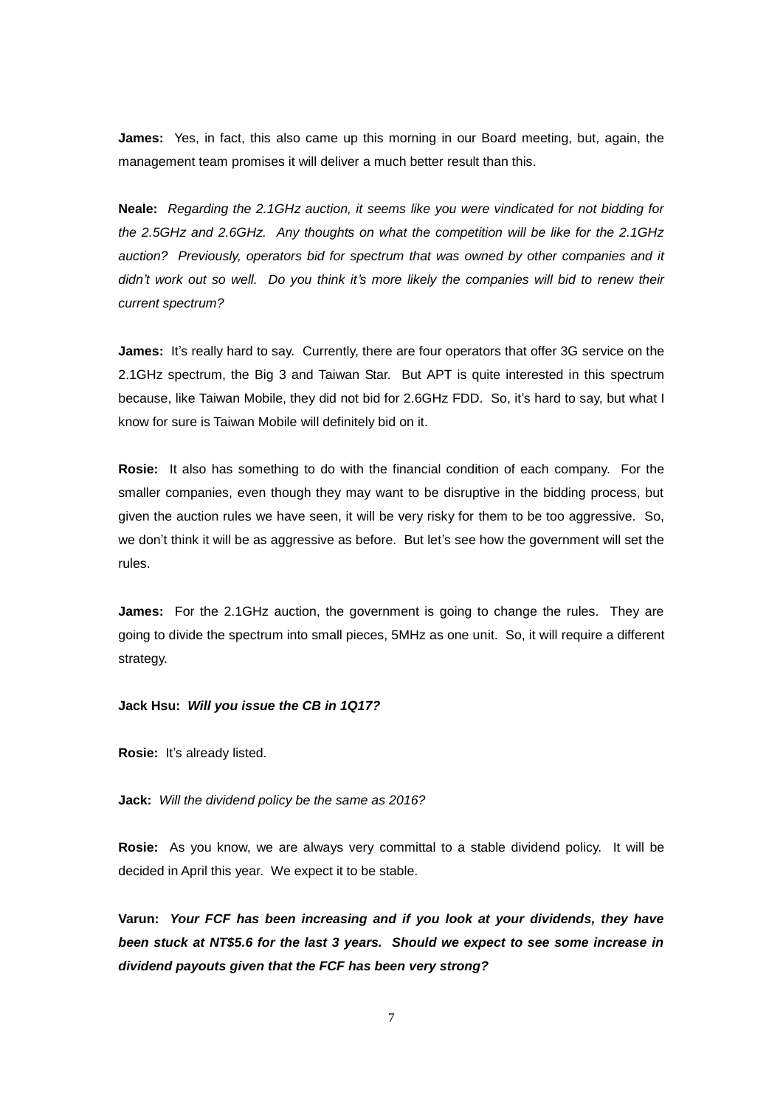**James:** Yes, in fact, this also came up this morning in our Board meeting, but, again, the management team promises it will deliver a much better result than this.

**Neale:** *Regarding the 2.1GHz auction, it seems like you were vindicated for not bidding for the 2.5GHz and 2.6GHz. Any thoughts on what the competition will be like for the 2.1GHz auction? Previously, operators bid for spectrum that was owned by other companies and it didn't work out so well. Do you think it's more likely the companies will bid to renew their current spectrum?*

**James:** It's really hard to say. Currently, there are four operators that offer 3G service on the 2.1GHz spectrum, the Big 3 and Taiwan Star. But APT is quite interested in this spectrum because, like Taiwan Mobile, they did not bid for 2.6GHz FDD. So, it's hard to say, but what I know for sure is Taiwan Mobile will definitely bid on it.

**Rosie:** It also has something to do with the financial condition of each company. For the smaller companies, even though they may want to be disruptive in the bidding process, but given the auction rules we have seen, it will be very risky for them to be too aggressive. So, we don't think it will be as aggressive as before. But let's see how the government will set the rules.

**James:** For the 2.1GHz auction, the government is going to change the rules. They are going to divide the spectrum into small pieces, 5MHz as one unit. So, it will require a different strategy.

#### **Jack Hsu:** *Will you issue the CB in 1Q17?*

**Rosie:** It's already listed.

**Jack:** *Will the dividend policy be the same as 2016?*

**Rosie:** As you know, we are always very committal to a stable dividend policy. It will be decided in April this year. We expect it to be stable.

**Varun:** *Your FCF has been increasing and if you look at your dividends, they have been stuck at NT\$5.6 for the last 3 years. Should we expect to see some increase in dividend payouts given that the FCF has been very strong?*